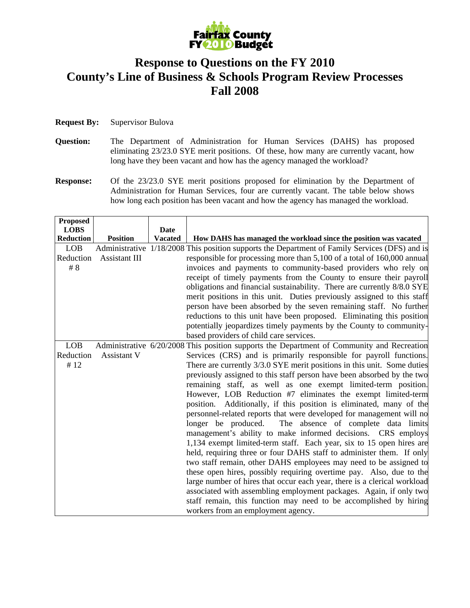

## **Response to Questions on the FY 2010 County's Line of Business & Schools Program Review Processes Fall 2008**

- **Question:** The Department of Administration for Human Services (DAHS) has proposed eliminating 23/23.0 SYE merit positions. Of these, how many are currently vacant, how long have they been vacant and how has the agency managed the workload?
- **Response:** Of the 23/23.0 SYE merit positions proposed for elimination by the Department of Administration for Human Services, four are currently vacant. The table below shows how long each position has been vacant and how the agency has managed the workload.

| <b>Proposed</b>  |                 |                |                                                                                                |
|------------------|-----------------|----------------|------------------------------------------------------------------------------------------------|
| <b>LOBS</b>      |                 | Date           |                                                                                                |
| <b>Reduction</b> | <b>Position</b> | <b>Vacated</b> | How DAHS has managed the workload since the position was vacated                               |
| <b>LOB</b>       |                 |                | Administrative 1/18/2008 This position supports the Department of Family Services (DFS) and is |
| Reduction        | Assistant III   |                | responsible for processing more than 5,100 of a total of 160,000 annual                        |
| # $8$            |                 |                | invoices and payments to community-based providers who rely on                                 |
|                  |                 |                | receipt of timely payments from the County to ensure their payroll                             |
|                  |                 |                | obligations and financial sustainability. There are currently 8/8.0 SYE                        |
|                  |                 |                | merit positions in this unit. Duties previously assigned to this staff                         |
|                  |                 |                | person have been absorbed by the seven remaining staff. No further                             |
|                  |                 |                | reductions to this unit have been proposed. Eliminating this position                          |
|                  |                 |                | potentially jeopardizes timely payments by the County to community-                            |
|                  |                 |                | based providers of child care services.                                                        |
| <b>LOB</b>       |                 |                | Administrative 6/20/2008 This position supports the Department of Community and Recreation     |
| Reduction        | Assistant V     |                | Services (CRS) and is primarily responsible for payroll functions.                             |
| #12              |                 |                | There are currently 3/3.0 SYE merit positions in this unit. Some duties                        |
|                  |                 |                | previously assigned to this staff person have been absorbed by the two                         |
|                  |                 |                | remaining staff, as well as one exempt limited-term position.                                  |
|                  |                 |                | However, LOB Reduction #7 eliminates the exempt limited-term                                   |
|                  |                 |                | position. Additionally, if this position is eliminated, many of the                            |
|                  |                 |                | personnel-related reports that were developed for management will no                           |
|                  |                 |                | longer be produced.<br>The absence of complete data limits                                     |
|                  |                 |                | management's ability to make informed decisions. CRS employs                                   |
|                  |                 |                | 1,134 exempt limited-term staff. Each year, six to 15 open hires are                           |
|                  |                 |                | held, requiring three or four DAHS staff to administer them. If only                           |
|                  |                 |                | two staff remain, other DAHS employees may need to be assigned to                              |
|                  |                 |                | these open hires, possibly requiring overtime pay. Also, due to the                            |
|                  |                 |                | large number of hires that occur each year, there is a clerical workload                       |
|                  |                 |                | associated with assembling employment packages. Again, if only two                             |
|                  |                 |                | staff remain, this function may need to be accomplished by hiring                              |
|                  |                 |                | workers from an employment agency.                                                             |